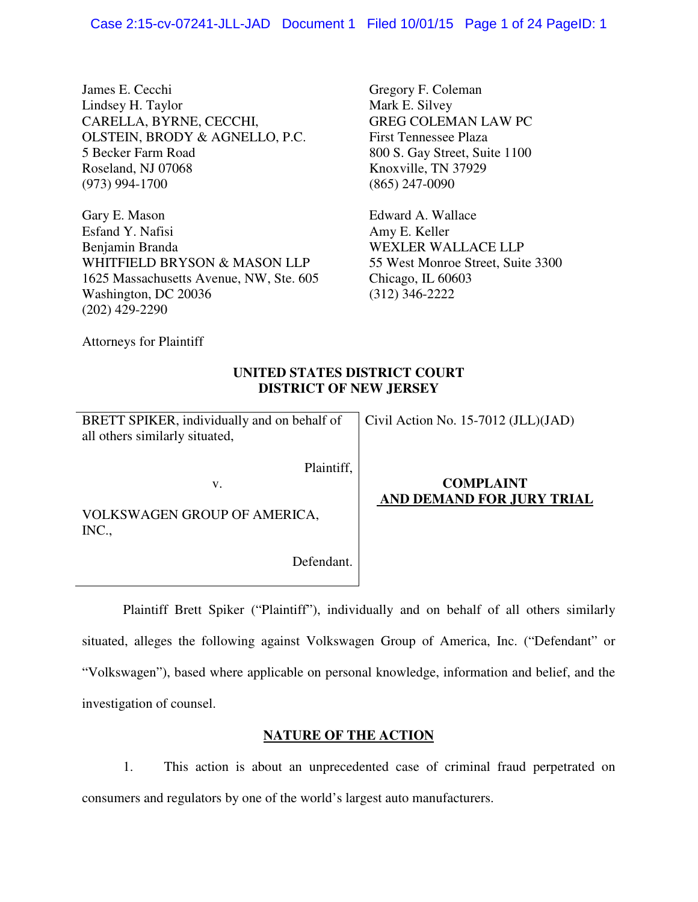James E. Cecchi Lindsey H. Taylor CARELLA, BYRNE, CECCHI, OLSTEIN, BRODY & AGNELLO, P.C. 5 Becker Farm Road Roseland, NJ 07068 (973) 994-1700

Gary E. Mason Esfand Y. Nafisi Benjamin Branda WHITFIELD BRYSON & MASON LLP 1625 Massachusetts Avenue, NW, Ste. 605 Washington, DC 20036 (202) 429-2290

Gregory F. Coleman Mark E. Silvey GREG COLEMAN LAW PC First Tennessee Plaza 800 S. Gay Street, Suite 1100 Knoxville, TN 37929 (865) 247-0090

Edward A. Wallace Amy E. Keller WEXLER WALLACE LLP 55 West Monroe Street, Suite 3300 Chicago, IL 60603 (312) 346-2222

Attorneys for Plaintiff

# **UNITED STATES DISTRICT COURT DISTRICT OF NEW JERSEY**

BRETT SPIKER, individually and on behalf of all others similarly situated,

v.

Civil Action No. 15-7012 (JLL)(JAD)

Plaintiff,

VOLKSWAGEN GROUP OF AMERICA, INC.,

Defendant.

# **COMPLAINT AND DEMAND FOR JURY TRIAL**

 Plaintiff Brett Spiker ("Plaintiff"), individually and on behalf of all others similarly situated, alleges the following against Volkswagen Group of America, Inc. ("Defendant" or "Volkswagen"), based where applicable on personal knowledge, information and belief, and the investigation of counsel.

# **NATURE OF THE ACTION**

1. This action is about an unprecedented case of criminal fraud perpetrated on consumers and regulators by one of the world's largest auto manufacturers.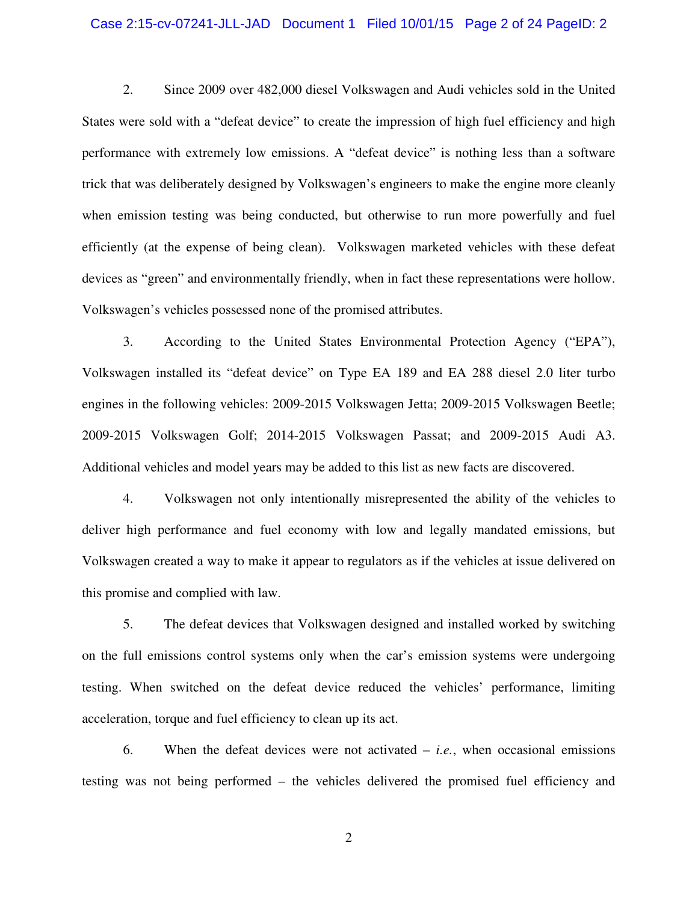## Case 2:15-cv-07241-JLL-JAD Document 1 Filed 10/01/15 Page 2 of 24 PageID: 2

2. Since 2009 over 482,000 diesel Volkswagen and Audi vehicles sold in the United States were sold with a "defeat device" to create the impression of high fuel efficiency and high performance with extremely low emissions. A "defeat device" is nothing less than a software trick that was deliberately designed by Volkswagen's engineers to make the engine more cleanly when emission testing was being conducted, but otherwise to run more powerfully and fuel efficiently (at the expense of being clean). Volkswagen marketed vehicles with these defeat devices as "green" and environmentally friendly, when in fact these representations were hollow. Volkswagen's vehicles possessed none of the promised attributes.

3. According to the United States Environmental Protection Agency ("EPA"), Volkswagen installed its "defeat device" on Type EA 189 and EA 288 diesel 2.0 liter turbo engines in the following vehicles: 2009-2015 Volkswagen Jetta; 2009-2015 Volkswagen Beetle; 2009-2015 Volkswagen Golf; 2014-2015 Volkswagen Passat; and 2009-2015 Audi A3. Additional vehicles and model years may be added to this list as new facts are discovered.

4. Volkswagen not only intentionally misrepresented the ability of the vehicles to deliver high performance and fuel economy with low and legally mandated emissions, but Volkswagen created a way to make it appear to regulators as if the vehicles at issue delivered on this promise and complied with law.

5. The defeat devices that Volkswagen designed and installed worked by switching on the full emissions control systems only when the car's emission systems were undergoing testing. When switched on the defeat device reduced the vehicles' performance, limiting acceleration, torque and fuel efficiency to clean up its act.

6. When the defeat devices were not activated – *i.e.*, when occasional emissions testing was not being performed – the vehicles delivered the promised fuel efficiency and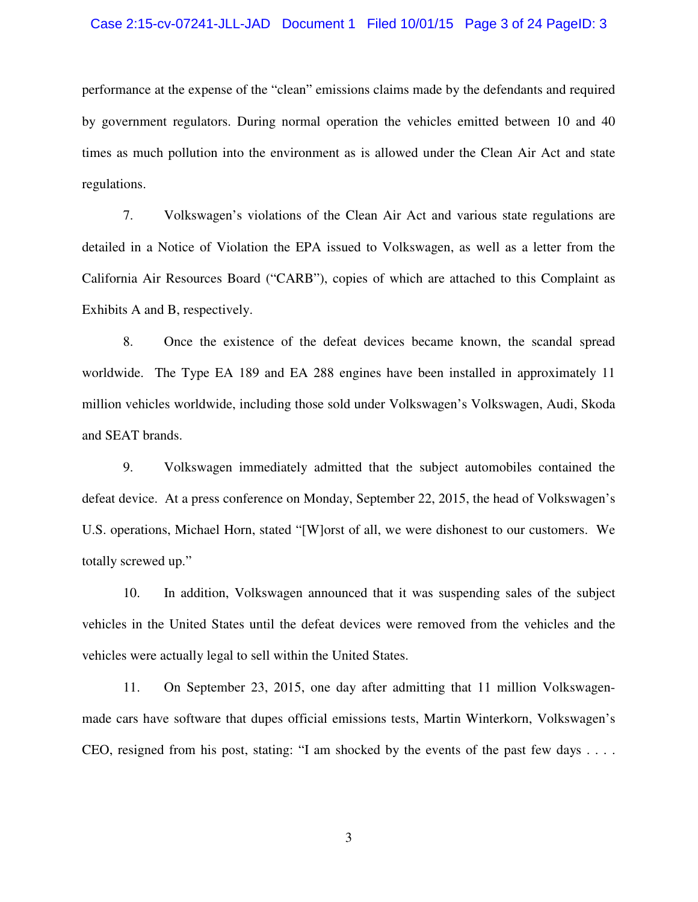## Case 2:15-cv-07241-JLL-JAD Document 1 Filed 10/01/15 Page 3 of 24 PageID: 3

performance at the expense of the "clean" emissions claims made by the defendants and required by government regulators. During normal operation the vehicles emitted between 10 and 40 times as much pollution into the environment as is allowed under the Clean Air Act and state regulations.

7. Volkswagen's violations of the Clean Air Act and various state regulations are detailed in a Notice of Violation the EPA issued to Volkswagen, as well as a letter from the California Air Resources Board ("CARB"), copies of which are attached to this Complaint as Exhibits A and B, respectively.

8. Once the existence of the defeat devices became known, the scandal spread worldwide. The Type EA 189 and EA 288 engines have been installed in approximately 11 million vehicles worldwide, including those sold under Volkswagen's Volkswagen, Audi, Skoda and SEAT brands.

9. Volkswagen immediately admitted that the subject automobiles contained the defeat device. At a press conference on Monday, September 22, 2015, the head of Volkswagen's U.S. operations, Michael Horn, stated "[W]orst of all, we were dishonest to our customers. We totally screwed up."

10. In addition, Volkswagen announced that it was suspending sales of the subject vehicles in the United States until the defeat devices were removed from the vehicles and the vehicles were actually legal to sell within the United States.

11. On September 23, 2015, one day after admitting that 11 million Volkswagenmade cars have software that dupes official emissions tests, Martin Winterkorn, Volkswagen's CEO, resigned from his post, stating: "I am shocked by the events of the past few days . . . .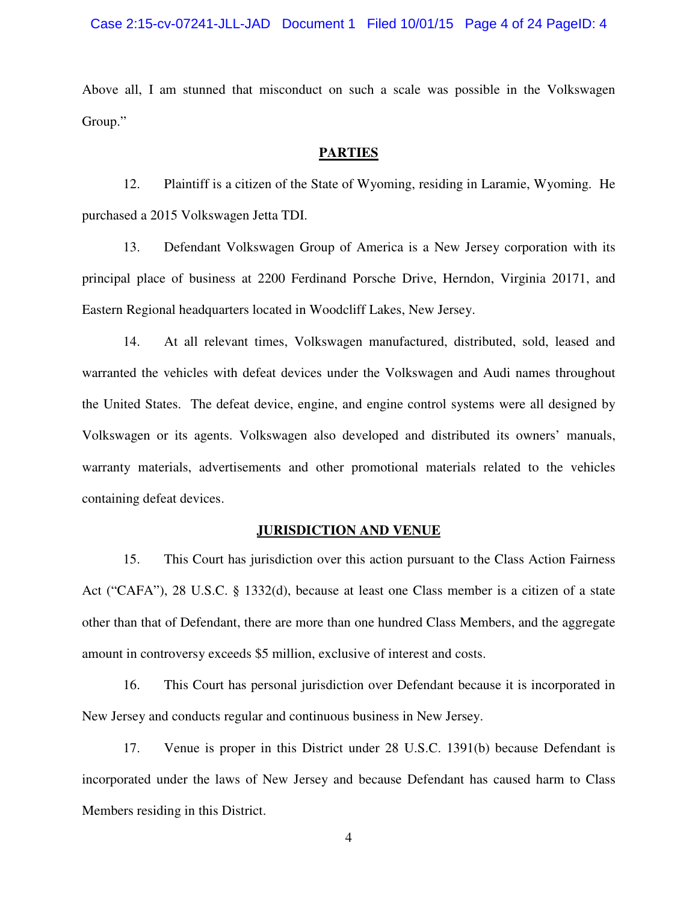Above all, I am stunned that misconduct on such a scale was possible in the Volkswagen Group."

# **PARTIES**

12. Plaintiff is a citizen of the State of Wyoming, residing in Laramie, Wyoming. He purchased a 2015 Volkswagen Jetta TDI.

13. Defendant Volkswagen Group of America is a New Jersey corporation with its principal place of business at 2200 Ferdinand Porsche Drive, Herndon, Virginia 20171, and Eastern Regional headquarters located in Woodcliff Lakes, New Jersey.

14. At all relevant times, Volkswagen manufactured, distributed, sold, leased and warranted the vehicles with defeat devices under the Volkswagen and Audi names throughout the United States. The defeat device, engine, and engine control systems were all designed by Volkswagen or its agents. Volkswagen also developed and distributed its owners' manuals, warranty materials, advertisements and other promotional materials related to the vehicles containing defeat devices.

## **JURISDICTION AND VENUE**

15. This Court has jurisdiction over this action pursuant to the Class Action Fairness Act ("CAFA"), 28 U.S.C. § 1332(d), because at least one Class member is a citizen of a state other than that of Defendant, there are more than one hundred Class Members, and the aggregate amount in controversy exceeds \$5 million, exclusive of interest and costs.

16. This Court has personal jurisdiction over Defendant because it is incorporated in New Jersey and conducts regular and continuous business in New Jersey.

17. Venue is proper in this District under 28 U.S.C. 1391(b) because Defendant is incorporated under the laws of New Jersey and because Defendant has caused harm to Class Members residing in this District.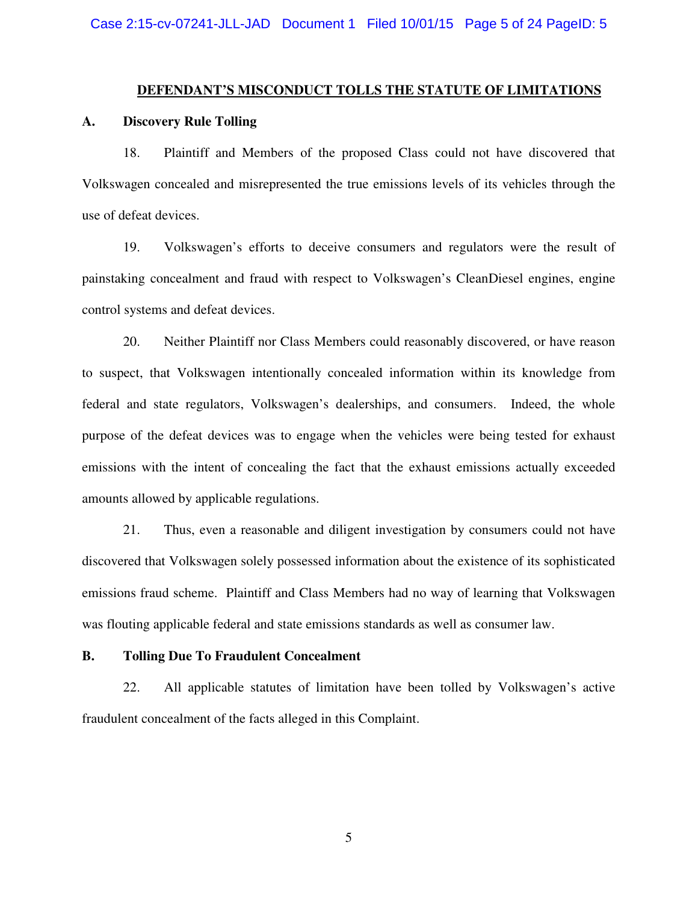#### **DEFENDANT'S MISCONDUCT TOLLS THE STATUTE OF LIMITATIONS**

# **A. Discovery Rule Tolling**

18. Plaintiff and Members of the proposed Class could not have discovered that Volkswagen concealed and misrepresented the true emissions levels of its vehicles through the use of defeat devices.

19. Volkswagen's efforts to deceive consumers and regulators were the result of painstaking concealment and fraud with respect to Volkswagen's CleanDiesel engines, engine control systems and defeat devices.

20. Neither Plaintiff nor Class Members could reasonably discovered, or have reason to suspect, that Volkswagen intentionally concealed information within its knowledge from federal and state regulators, Volkswagen's dealerships, and consumers. Indeed, the whole purpose of the defeat devices was to engage when the vehicles were being tested for exhaust emissions with the intent of concealing the fact that the exhaust emissions actually exceeded amounts allowed by applicable regulations.

21. Thus, even a reasonable and diligent investigation by consumers could not have discovered that Volkswagen solely possessed information about the existence of its sophisticated emissions fraud scheme. Plaintiff and Class Members had no way of learning that Volkswagen was flouting applicable federal and state emissions standards as well as consumer law.

## **B. Tolling Due To Fraudulent Concealment**

22. All applicable statutes of limitation have been tolled by Volkswagen's active fraudulent concealment of the facts alleged in this Complaint.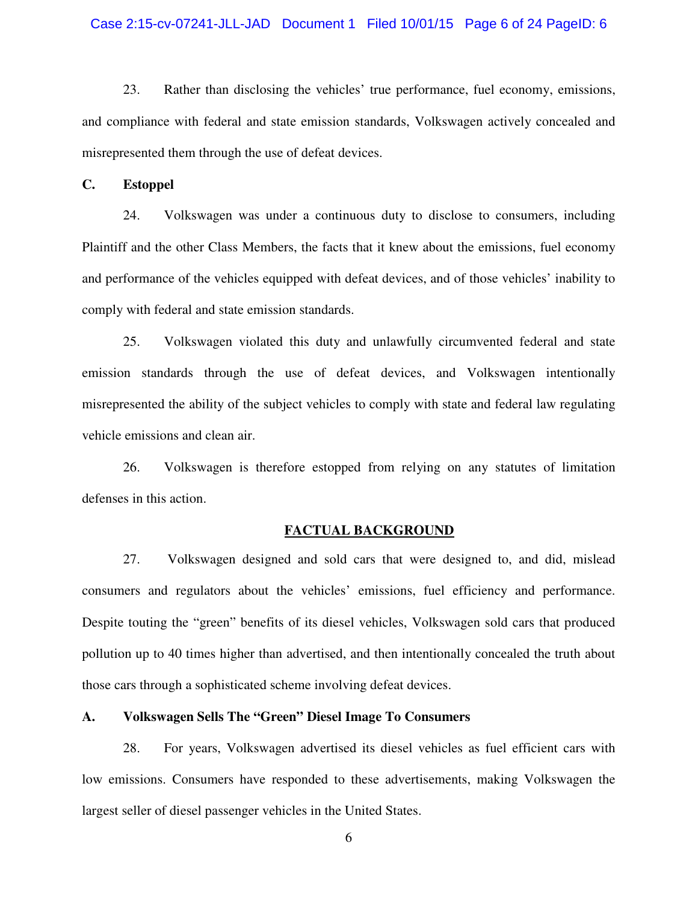## Case 2:15-cv-07241-JLL-JAD Document 1 Filed 10/01/15 Page 6 of 24 PageID: 6

23. Rather than disclosing the vehicles' true performance, fuel economy, emissions, and compliance with federal and state emission standards, Volkswagen actively concealed and misrepresented them through the use of defeat devices.

**C. Estoppel** 

24. Volkswagen was under a continuous duty to disclose to consumers, including Plaintiff and the other Class Members, the facts that it knew about the emissions, fuel economy and performance of the vehicles equipped with defeat devices, and of those vehicles' inability to comply with federal and state emission standards.

25. Volkswagen violated this duty and unlawfully circumvented federal and state emission standards through the use of defeat devices, and Volkswagen intentionally misrepresented the ability of the subject vehicles to comply with state and federal law regulating vehicle emissions and clean air.

26. Volkswagen is therefore estopped from relying on any statutes of limitation defenses in this action.

#### **FACTUAL BACKGROUND**

27. Volkswagen designed and sold cars that were designed to, and did, mislead consumers and regulators about the vehicles' emissions, fuel efficiency and performance. Despite touting the "green" benefits of its diesel vehicles, Volkswagen sold cars that produced pollution up to 40 times higher than advertised, and then intentionally concealed the truth about those cars through a sophisticated scheme involving defeat devices.

# **A. Volkswagen Sells The "Green" Diesel Image To Consumers**

28. For years, Volkswagen advertised its diesel vehicles as fuel efficient cars with low emissions. Consumers have responded to these advertisements, making Volkswagen the largest seller of diesel passenger vehicles in the United States.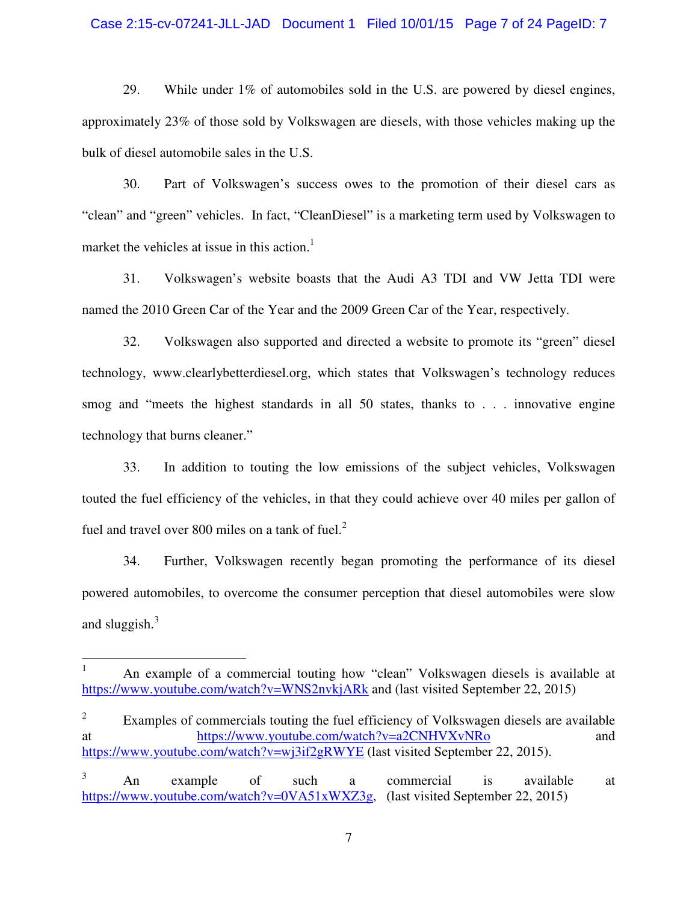## Case 2:15-cv-07241-JLL-JAD Document 1 Filed 10/01/15 Page 7 of 24 PageID: 7

29. While under 1% of automobiles sold in the U.S. are powered by diesel engines, approximately 23% of those sold by Volkswagen are diesels, with those vehicles making up the bulk of diesel automobile sales in the U.S.

30. Part of Volkswagen's success owes to the promotion of their diesel cars as "clean" and "green" vehicles. In fact, "CleanDiesel" is a marketing term used by Volkswagen to market the vehicles at issue in this action.<sup>1</sup>

31. Volkswagen's website boasts that the Audi A3 TDI and VW Jetta TDI were named the 2010 Green Car of the Year and the 2009 Green Car of the Year, respectively.

32. Volkswagen also supported and directed a website to promote its "green" diesel technology, www.clearlybetterdiesel.org, which states that Volkswagen's technology reduces smog and "meets the highest standards in all 50 states, thanks to . . . innovative engine technology that burns cleaner."

33. In addition to touting the low emissions of the subject vehicles, Volkswagen touted the fuel efficiency of the vehicles, in that they could achieve over 40 miles per gallon of fuel and travel over 800 miles on a tank of fuel. $2<sup>2</sup>$ 

34. Further, Volkswagen recently began promoting the performance of its diesel powered automobiles, to overcome the consumer perception that diesel automobiles were slow and sluggish. $3$ 

<u>.</u>

<sup>1</sup> An example of a commercial touting how "clean" Volkswagen diesels is available at https://www.youtube.com/watch?v=WNS2nvkjARk and (last visited September 22, 2015)

<sup>2</sup> Examples of commercials touting the fuel efficiency of Volkswagen diesels are available at https://www.youtube.com/watch?v=a2CNHVXvNRo and https://www.youtube.com/watch?v=wj3if2gRWYE (last visited September 22, 2015).

<sup>3</sup> An example of such a commercial is available at https://www.youtube.com/watch?v=0VA51xWXZ3g, (last visited September 22, 2015)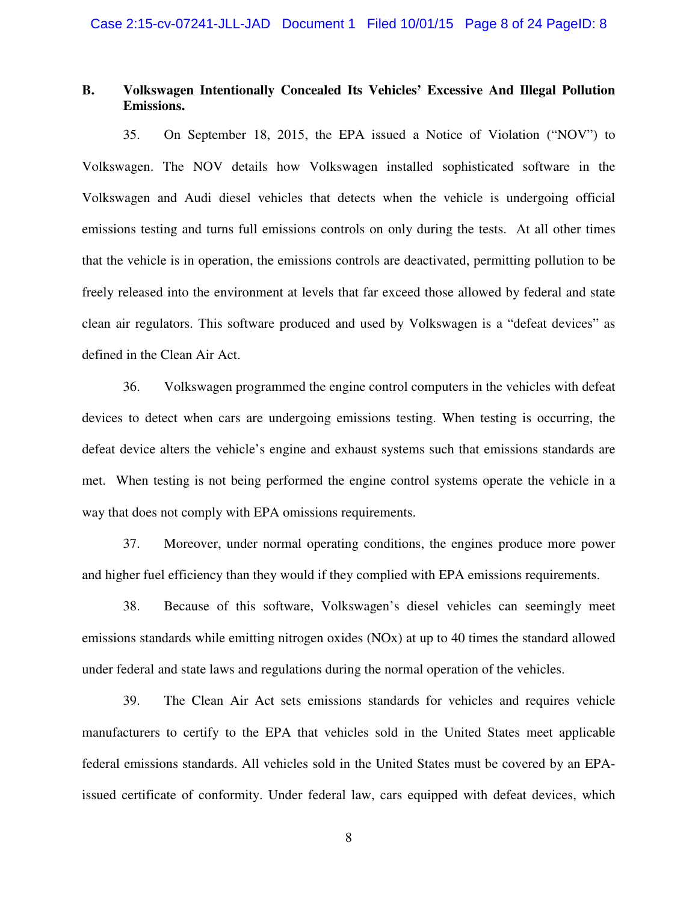# **B. Volkswagen Intentionally Concealed Its Vehicles' Excessive And Illegal Pollution Emissions.**

35. On September 18, 2015, the EPA issued a Notice of Violation ("NOV") to Volkswagen. The NOV details how Volkswagen installed sophisticated software in the Volkswagen and Audi diesel vehicles that detects when the vehicle is undergoing official emissions testing and turns full emissions controls on only during the tests. At all other times that the vehicle is in operation, the emissions controls are deactivated, permitting pollution to be freely released into the environment at levels that far exceed those allowed by federal and state clean air regulators. This software produced and used by Volkswagen is a "defeat devices" as defined in the Clean Air Act.

36. Volkswagen programmed the engine control computers in the vehicles with defeat devices to detect when cars are undergoing emissions testing. When testing is occurring, the defeat device alters the vehicle's engine and exhaust systems such that emissions standards are met. When testing is not being performed the engine control systems operate the vehicle in a way that does not comply with EPA omissions requirements.

37. Moreover, under normal operating conditions, the engines produce more power and higher fuel efficiency than they would if they complied with EPA emissions requirements.

38. Because of this software, Volkswagen's diesel vehicles can seemingly meet emissions standards while emitting nitrogen oxides (NOx) at up to 40 times the standard allowed under federal and state laws and regulations during the normal operation of the vehicles.

39. The Clean Air Act sets emissions standards for vehicles and requires vehicle manufacturers to certify to the EPA that vehicles sold in the United States meet applicable federal emissions standards. All vehicles sold in the United States must be covered by an EPAissued certificate of conformity. Under federal law, cars equipped with defeat devices, which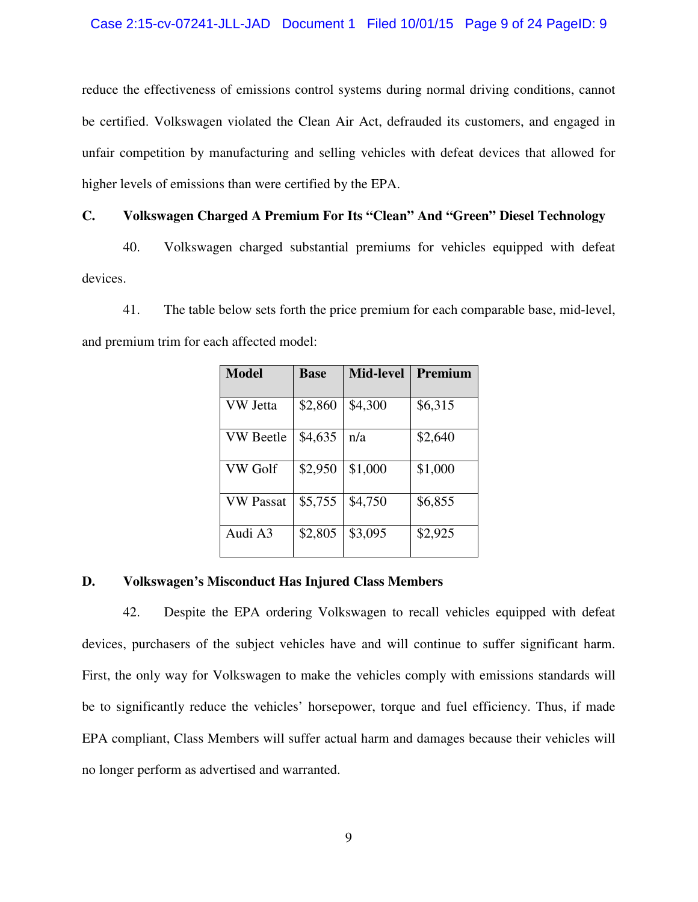# Case 2:15-cv-07241-JLL-JAD Document 1 Filed 10/01/15 Page 9 of 24 PageID: 9

reduce the effectiveness of emissions control systems during normal driving conditions, cannot be certified. Volkswagen violated the Clean Air Act, defrauded its customers, and engaged in unfair competition by manufacturing and selling vehicles with defeat devices that allowed for higher levels of emissions than were certified by the EPA.

# **C. Volkswagen Charged A Premium For Its "Clean" And "Green" Diesel Technology**

40. Volkswagen charged substantial premiums for vehicles equipped with defeat devices.

41. The table below sets forth the price premium for each comparable base, mid-level, and premium trim for each affected model:

| <b>Model</b>     | <b>Base</b> | <b>Mid-level</b> | Premium |
|------------------|-------------|------------------|---------|
| VW Jetta         | \$2,860     | \$4,300          | \$6,315 |
| <b>VW Beetle</b> | \$4,635     | n/a              | \$2,640 |
| VW Golf          | \$2,950     | \$1,000          | \$1,000 |
| <b>VW Passat</b> | \$5,755     | \$4,750          | \$6,855 |
| Audi A3          | \$2,805     | \$3,095          | \$2,925 |

## **D. Volkswagen's Misconduct Has Injured Class Members**

42. Despite the EPA ordering Volkswagen to recall vehicles equipped with defeat devices, purchasers of the subject vehicles have and will continue to suffer significant harm. First, the only way for Volkswagen to make the vehicles comply with emissions standards will be to significantly reduce the vehicles' horsepower, torque and fuel efficiency. Thus, if made EPA compliant, Class Members will suffer actual harm and damages because their vehicles will no longer perform as advertised and warranted.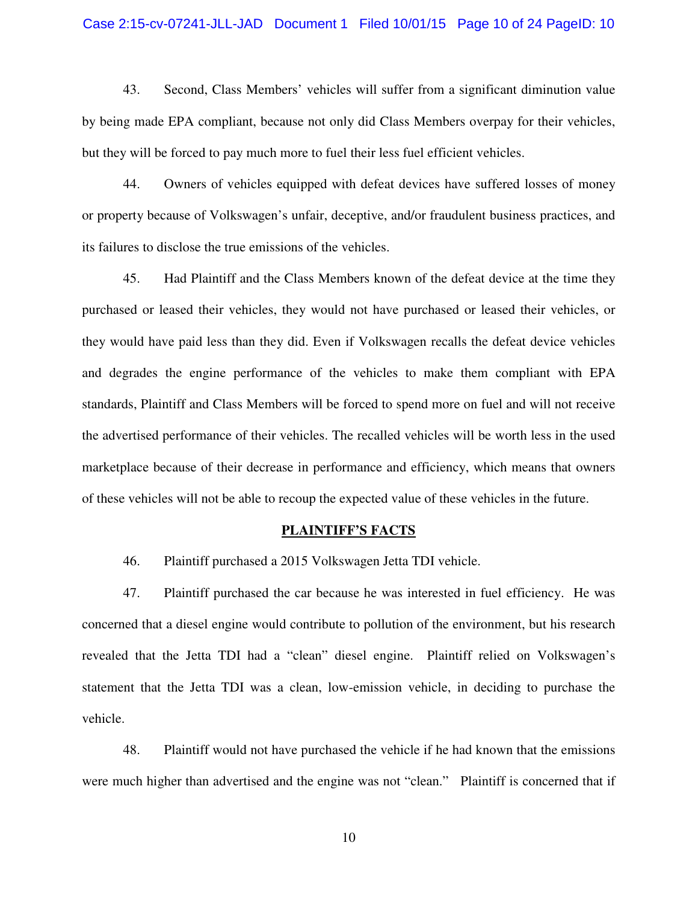## Case 2:15-cv-07241-JLL-JAD Document 1 Filed 10/01/15 Page 10 of 24 PageID: 10

43. Second, Class Members' vehicles will suffer from a significant diminution value by being made EPA compliant, because not only did Class Members overpay for their vehicles, but they will be forced to pay much more to fuel their less fuel efficient vehicles.

44. Owners of vehicles equipped with defeat devices have suffered losses of money or property because of Volkswagen's unfair, deceptive, and/or fraudulent business practices, and its failures to disclose the true emissions of the vehicles.

45. Had Plaintiff and the Class Members known of the defeat device at the time they purchased or leased their vehicles, they would not have purchased or leased their vehicles, or they would have paid less than they did. Even if Volkswagen recalls the defeat device vehicles and degrades the engine performance of the vehicles to make them compliant with EPA standards, Plaintiff and Class Members will be forced to spend more on fuel and will not receive the advertised performance of their vehicles. The recalled vehicles will be worth less in the used marketplace because of their decrease in performance and efficiency, which means that owners of these vehicles will not be able to recoup the expected value of these vehicles in the future.

#### **PLAINTIFF'S FACTS**

46. Plaintiff purchased a 2015 Volkswagen Jetta TDI vehicle.

47. Plaintiff purchased the car because he was interested in fuel efficiency. He was concerned that a diesel engine would contribute to pollution of the environment, but his research revealed that the Jetta TDI had a "clean" diesel engine. Plaintiff relied on Volkswagen's statement that the Jetta TDI was a clean, low-emission vehicle, in deciding to purchase the vehicle.

48. Plaintiff would not have purchased the vehicle if he had known that the emissions were much higher than advertised and the engine was not "clean." Plaintiff is concerned that if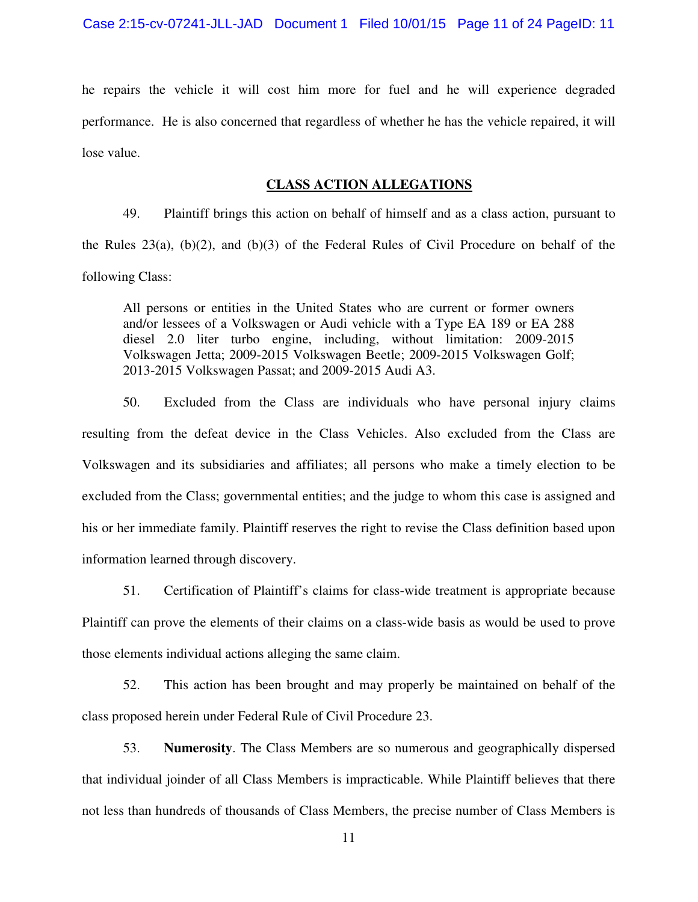he repairs the vehicle it will cost him more for fuel and he will experience degraded performance. He is also concerned that regardless of whether he has the vehicle repaired, it will lose value.

# **CLASS ACTION ALLEGATIONS**

49. Plaintiff brings this action on behalf of himself and as a class action, pursuant to the Rules 23(a), (b)(2), and (b)(3) of the Federal Rules of Civil Procedure on behalf of the following Class:

All persons or entities in the United States who are current or former owners and/or lessees of a Volkswagen or Audi vehicle with a Type EA 189 or EA 288 diesel 2.0 liter turbo engine, including, without limitation: 2009-2015 Volkswagen Jetta; 2009-2015 Volkswagen Beetle; 2009-2015 Volkswagen Golf; 2013-2015 Volkswagen Passat; and 2009-2015 Audi A3.

50. Excluded from the Class are individuals who have personal injury claims resulting from the defeat device in the Class Vehicles. Also excluded from the Class are Volkswagen and its subsidiaries and affiliates; all persons who make a timely election to be excluded from the Class; governmental entities; and the judge to whom this case is assigned and his or her immediate family. Plaintiff reserves the right to revise the Class definition based upon information learned through discovery.

51. Certification of Plaintiff's claims for class-wide treatment is appropriate because Plaintiff can prove the elements of their claims on a class-wide basis as would be used to prove those elements individual actions alleging the same claim.

52. This action has been brought and may properly be maintained on behalf of the class proposed herein under Federal Rule of Civil Procedure 23.

53. **Numerosity**. The Class Members are so numerous and geographically dispersed that individual joinder of all Class Members is impracticable. While Plaintiff believes that there not less than hundreds of thousands of Class Members, the precise number of Class Members is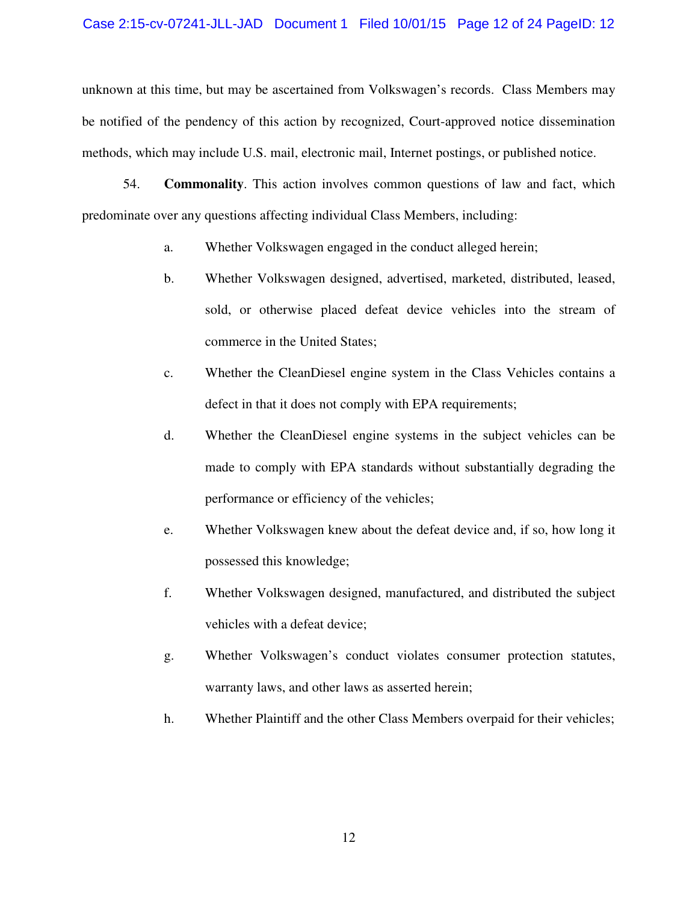# Case 2:15-cv-07241-JLL-JAD Document 1 Filed 10/01/15 Page 12 of 24 PageID: 12

unknown at this time, but may be ascertained from Volkswagen's records. Class Members may be notified of the pendency of this action by recognized, Court-approved notice dissemination methods, which may include U.S. mail, electronic mail, Internet postings, or published notice.

54. **Commonality**. This action involves common questions of law and fact, which predominate over any questions affecting individual Class Members, including:

- a. Whether Volkswagen engaged in the conduct alleged herein;
- b. Whether Volkswagen designed, advertised, marketed, distributed, leased, sold, or otherwise placed defeat device vehicles into the stream of commerce in the United States;
- c. Whether the CleanDiesel engine system in the Class Vehicles contains a defect in that it does not comply with EPA requirements;
- d. Whether the CleanDiesel engine systems in the subject vehicles can be made to comply with EPA standards without substantially degrading the performance or efficiency of the vehicles;
- e. Whether Volkswagen knew about the defeat device and, if so, how long it possessed this knowledge;
- f. Whether Volkswagen designed, manufactured, and distributed the subject vehicles with a defeat device;
- g. Whether Volkswagen's conduct violates consumer protection statutes, warranty laws, and other laws as asserted herein;
- h. Whether Plaintiff and the other Class Members overpaid for their vehicles;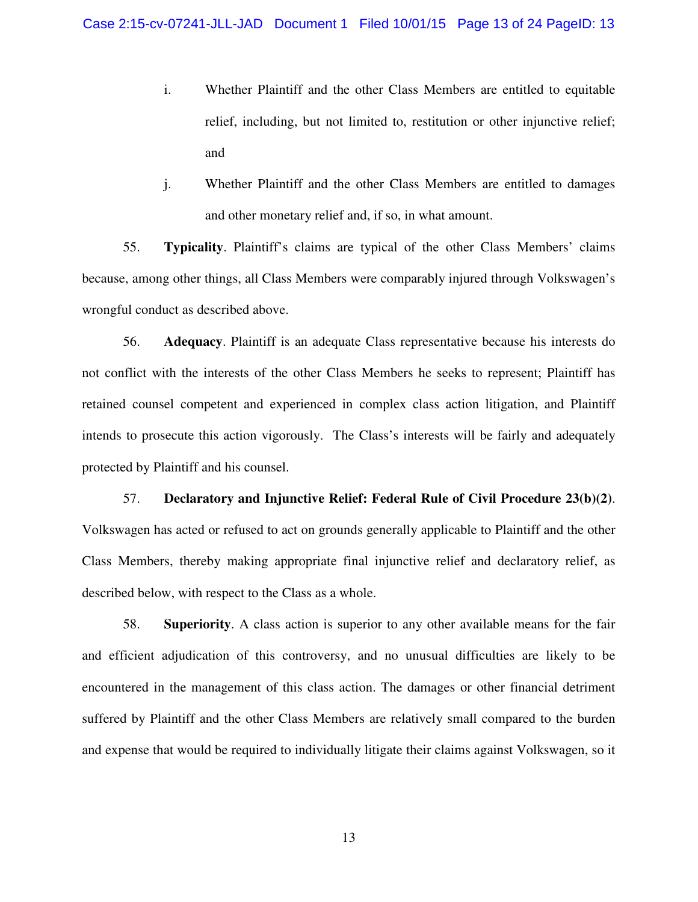- i. Whether Plaintiff and the other Class Members are entitled to equitable relief, including, but not limited to, restitution or other injunctive relief; and
- j. Whether Plaintiff and the other Class Members are entitled to damages and other monetary relief and, if so, in what amount.

55. **Typicality**. Plaintiff's claims are typical of the other Class Members' claims because, among other things, all Class Members were comparably injured through Volkswagen's wrongful conduct as described above.

56. **Adequacy**. Plaintiff is an adequate Class representative because his interests do not conflict with the interests of the other Class Members he seeks to represent; Plaintiff has retained counsel competent and experienced in complex class action litigation, and Plaintiff intends to prosecute this action vigorously. The Class's interests will be fairly and adequately protected by Plaintiff and his counsel.

57. **Declaratory and Injunctive Relief: Federal Rule of Civil Procedure 23(b)(2)**. Volkswagen has acted or refused to act on grounds generally applicable to Plaintiff and the other Class Members, thereby making appropriate final injunctive relief and declaratory relief, as described below, with respect to the Class as a whole.

58. **Superiority**. A class action is superior to any other available means for the fair and efficient adjudication of this controversy, and no unusual difficulties are likely to be encountered in the management of this class action. The damages or other financial detriment suffered by Plaintiff and the other Class Members are relatively small compared to the burden and expense that would be required to individually litigate their claims against Volkswagen, so it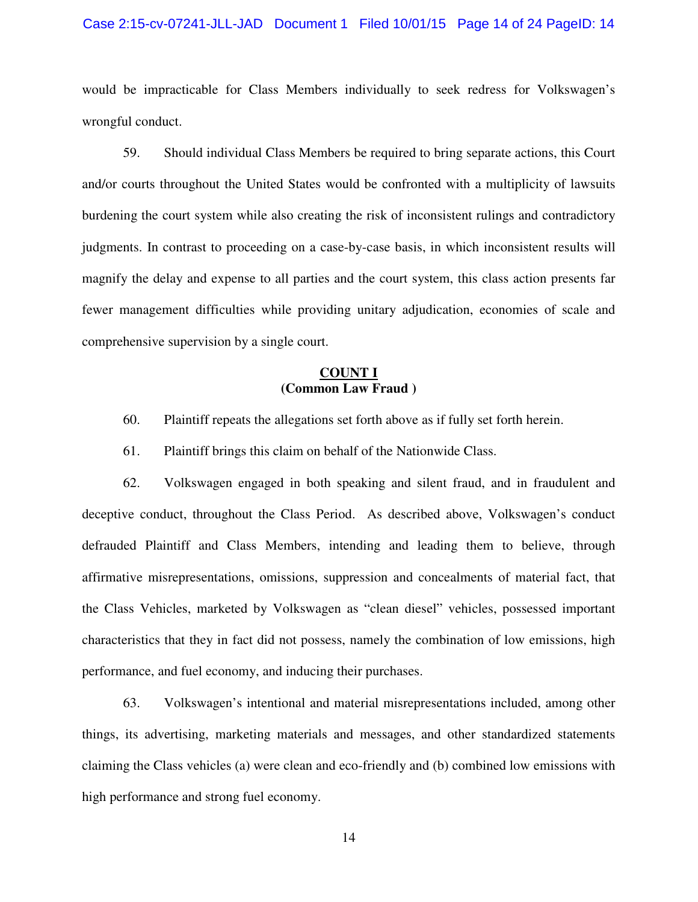## Case 2:15-cv-07241-JLL-JAD Document 1 Filed 10/01/15 Page 14 of 24 PageID: 14

would be impracticable for Class Members individually to seek redress for Volkswagen's wrongful conduct.

59. Should individual Class Members be required to bring separate actions, this Court and/or courts throughout the United States would be confronted with a multiplicity of lawsuits burdening the court system while also creating the risk of inconsistent rulings and contradictory judgments. In contrast to proceeding on a case-by-case basis, in which inconsistent results will magnify the delay and expense to all parties and the court system, this class action presents far fewer management difficulties while providing unitary adjudication, economies of scale and comprehensive supervision by a single court.

# **COUNT I (Common Law Fraud )**

- 60. Plaintiff repeats the allegations set forth above as if fully set forth herein.
- 61. Plaintiff brings this claim on behalf of the Nationwide Class.

62. Volkswagen engaged in both speaking and silent fraud, and in fraudulent and deceptive conduct, throughout the Class Period. As described above, Volkswagen's conduct defrauded Plaintiff and Class Members, intending and leading them to believe, through affirmative misrepresentations, omissions, suppression and concealments of material fact, that the Class Vehicles, marketed by Volkswagen as "clean diesel" vehicles, possessed important characteristics that they in fact did not possess, namely the combination of low emissions, high performance, and fuel economy, and inducing their purchases.

63. Volkswagen's intentional and material misrepresentations included, among other things, its advertising, marketing materials and messages, and other standardized statements claiming the Class vehicles (a) were clean and eco-friendly and (b) combined low emissions with high performance and strong fuel economy.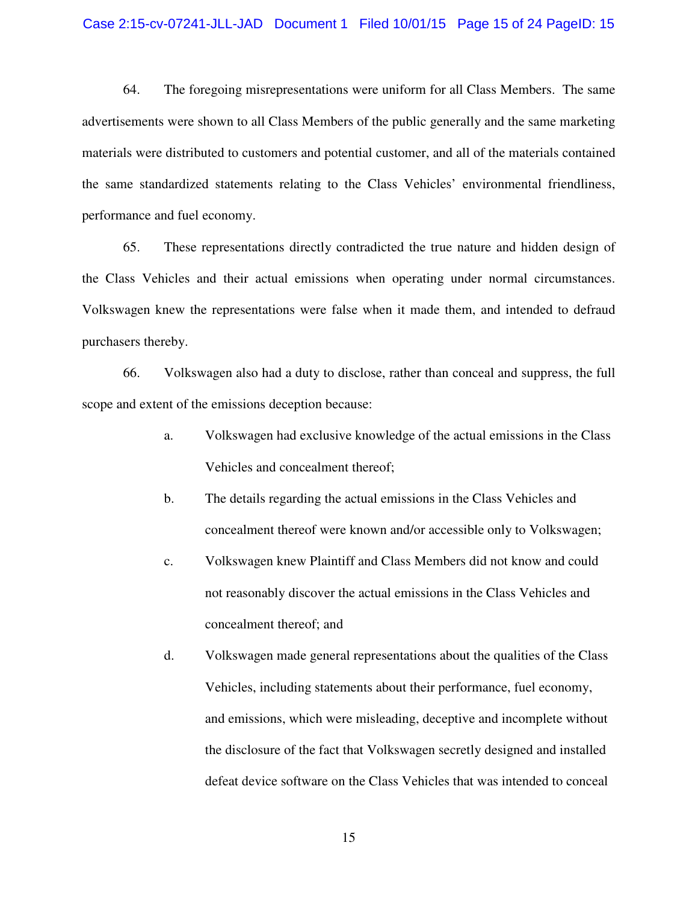## Case 2:15-cv-07241-JLL-JAD Document 1 Filed 10/01/15 Page 15 of 24 PageID: 15

64. The foregoing misrepresentations were uniform for all Class Members. The same advertisements were shown to all Class Members of the public generally and the same marketing materials were distributed to customers and potential customer, and all of the materials contained the same standardized statements relating to the Class Vehicles' environmental friendliness, performance and fuel economy.

65. These representations directly contradicted the true nature and hidden design of the Class Vehicles and their actual emissions when operating under normal circumstances. Volkswagen knew the representations were false when it made them, and intended to defraud purchasers thereby.

66. Volkswagen also had a duty to disclose, rather than conceal and suppress, the full scope and extent of the emissions deception because:

- a. Volkswagen had exclusive knowledge of the actual emissions in the Class Vehicles and concealment thereof;
- b. The details regarding the actual emissions in the Class Vehicles and concealment thereof were known and/or accessible only to Volkswagen;
- c. Volkswagen knew Plaintiff and Class Members did not know and could not reasonably discover the actual emissions in the Class Vehicles and concealment thereof; and
- d. Volkswagen made general representations about the qualities of the Class Vehicles, including statements about their performance, fuel economy, and emissions, which were misleading, deceptive and incomplete without the disclosure of the fact that Volkswagen secretly designed and installed defeat device software on the Class Vehicles that was intended to conceal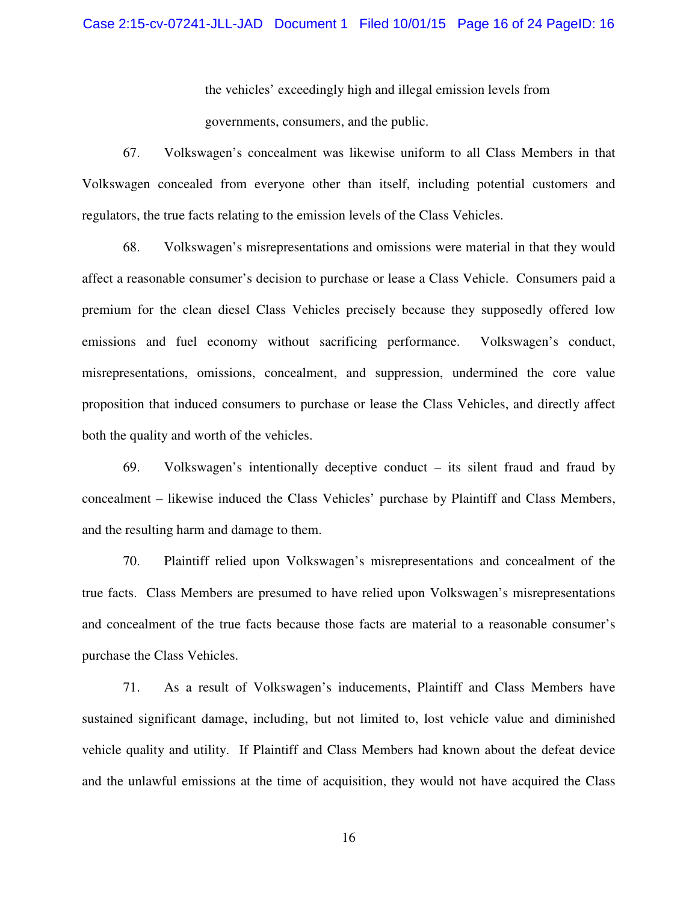## Case 2:15-cv-07241-JLL-JAD Document 1 Filed 10/01/15 Page 16 of 24 PageID: 16

the vehicles' exceedingly high and illegal emission levels from governments, consumers, and the public.

67. Volkswagen's concealment was likewise uniform to all Class Members in that Volkswagen concealed from everyone other than itself, including potential customers and regulators, the true facts relating to the emission levels of the Class Vehicles.

68. Volkswagen's misrepresentations and omissions were material in that they would affect a reasonable consumer's decision to purchase or lease a Class Vehicle. Consumers paid a premium for the clean diesel Class Vehicles precisely because they supposedly offered low emissions and fuel economy without sacrificing performance. Volkswagen's conduct, misrepresentations, omissions, concealment, and suppression, undermined the core value proposition that induced consumers to purchase or lease the Class Vehicles, and directly affect both the quality and worth of the vehicles.

69. Volkswagen's intentionally deceptive conduct – its silent fraud and fraud by concealment – likewise induced the Class Vehicles' purchase by Plaintiff and Class Members, and the resulting harm and damage to them.

70. Plaintiff relied upon Volkswagen's misrepresentations and concealment of the true facts. Class Members are presumed to have relied upon Volkswagen's misrepresentations and concealment of the true facts because those facts are material to a reasonable consumer's purchase the Class Vehicles.

71. As a result of Volkswagen's inducements, Plaintiff and Class Members have sustained significant damage, including, but not limited to, lost vehicle value and diminished vehicle quality and utility. If Plaintiff and Class Members had known about the defeat device and the unlawful emissions at the time of acquisition, they would not have acquired the Class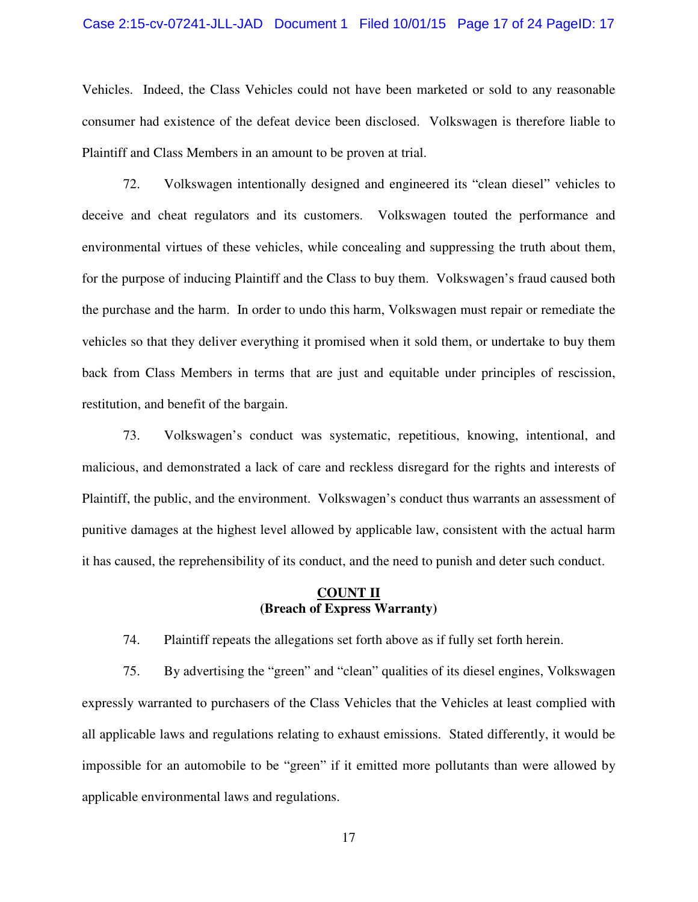## Case 2:15-cv-07241-JLL-JAD Document 1 Filed 10/01/15 Page 17 of 24 PageID: 17

Vehicles. Indeed, the Class Vehicles could not have been marketed or sold to any reasonable consumer had existence of the defeat device been disclosed. Volkswagen is therefore liable to Plaintiff and Class Members in an amount to be proven at trial.

72. Volkswagen intentionally designed and engineered its "clean diesel" vehicles to deceive and cheat regulators and its customers. Volkswagen touted the performance and environmental virtues of these vehicles, while concealing and suppressing the truth about them, for the purpose of inducing Plaintiff and the Class to buy them. Volkswagen's fraud caused both the purchase and the harm. In order to undo this harm, Volkswagen must repair or remediate the vehicles so that they deliver everything it promised when it sold them, or undertake to buy them back from Class Members in terms that are just and equitable under principles of rescission, restitution, and benefit of the bargain.

73. Volkswagen's conduct was systematic, repetitious, knowing, intentional, and malicious, and demonstrated a lack of care and reckless disregard for the rights and interests of Plaintiff, the public, and the environment. Volkswagen's conduct thus warrants an assessment of punitive damages at the highest level allowed by applicable law, consistent with the actual harm it has caused, the reprehensibility of its conduct, and the need to punish and deter such conduct.

# **COUNT II (Breach of Express Warranty)**

74. Plaintiff repeats the allegations set forth above as if fully set forth herein.

75. By advertising the "green" and "clean" qualities of its diesel engines, Volkswagen expressly warranted to purchasers of the Class Vehicles that the Vehicles at least complied with all applicable laws and regulations relating to exhaust emissions. Stated differently, it would be impossible for an automobile to be "green" if it emitted more pollutants than were allowed by applicable environmental laws and regulations.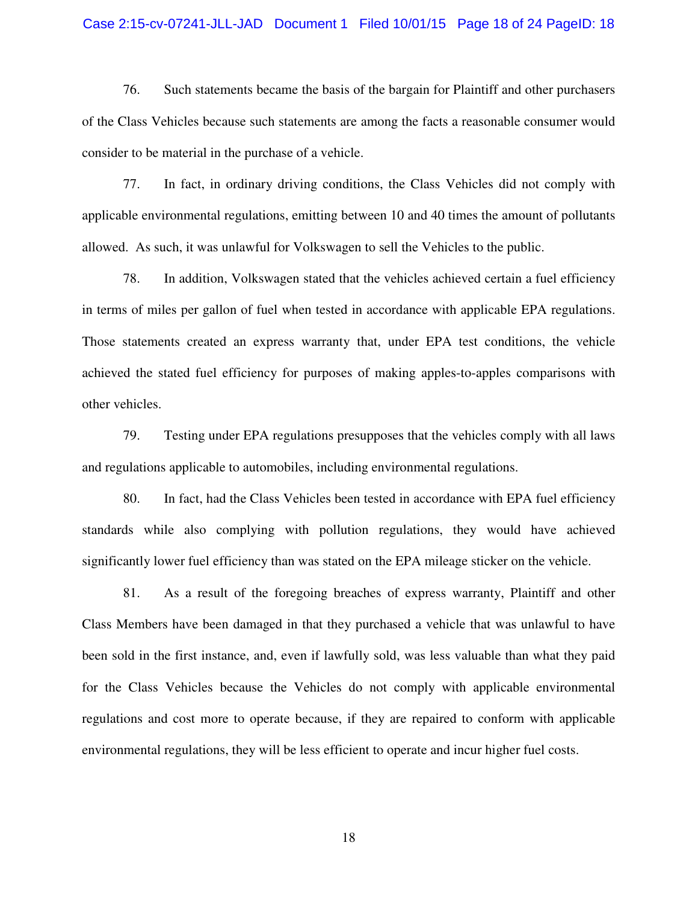## Case 2:15-cv-07241-JLL-JAD Document 1 Filed 10/01/15 Page 18 of 24 PageID: 18

76. Such statements became the basis of the bargain for Plaintiff and other purchasers of the Class Vehicles because such statements are among the facts a reasonable consumer would consider to be material in the purchase of a vehicle.

77. In fact, in ordinary driving conditions, the Class Vehicles did not comply with applicable environmental regulations, emitting between 10 and 40 times the amount of pollutants allowed. As such, it was unlawful for Volkswagen to sell the Vehicles to the public.

78. In addition, Volkswagen stated that the vehicles achieved certain a fuel efficiency in terms of miles per gallon of fuel when tested in accordance with applicable EPA regulations. Those statements created an express warranty that, under EPA test conditions, the vehicle achieved the stated fuel efficiency for purposes of making apples-to-apples comparisons with other vehicles.

79. Testing under EPA regulations presupposes that the vehicles comply with all laws and regulations applicable to automobiles, including environmental regulations.

80. In fact, had the Class Vehicles been tested in accordance with EPA fuel efficiency standards while also complying with pollution regulations, they would have achieved significantly lower fuel efficiency than was stated on the EPA mileage sticker on the vehicle.

81. As a result of the foregoing breaches of express warranty, Plaintiff and other Class Members have been damaged in that they purchased a vehicle that was unlawful to have been sold in the first instance, and, even if lawfully sold, was less valuable than what they paid for the Class Vehicles because the Vehicles do not comply with applicable environmental regulations and cost more to operate because, if they are repaired to conform with applicable environmental regulations, they will be less efficient to operate and incur higher fuel costs.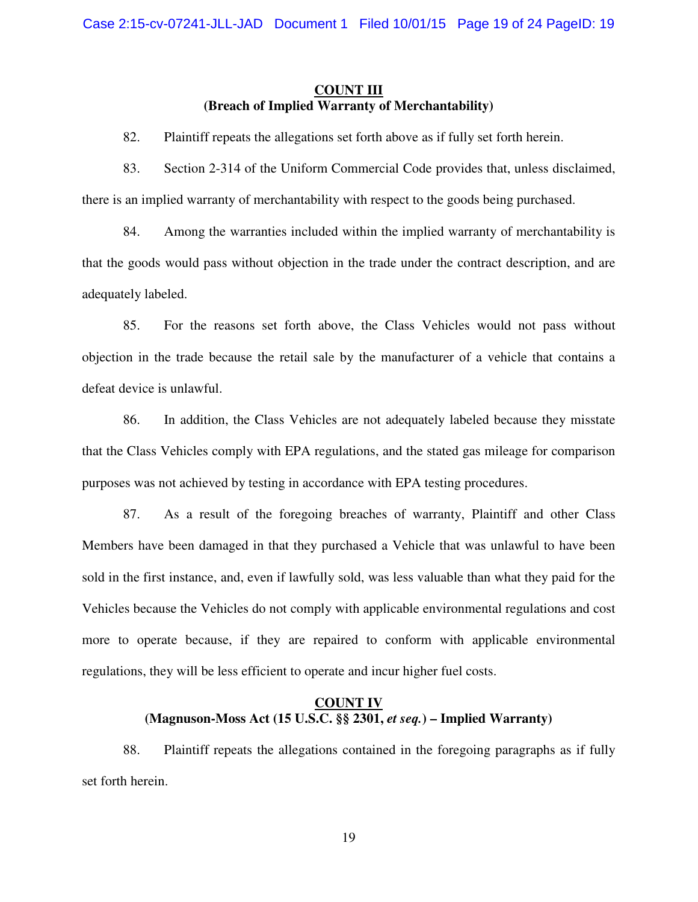# **COUNT III (Breach of Implied Warranty of Merchantability)**

- 82. Plaintiff repeats the allegations set forth above as if fully set forth herein.
- 83. Section 2-314 of the Uniform Commercial Code provides that, unless disclaimed, there is an implied warranty of merchantability with respect to the goods being purchased.

84. Among the warranties included within the implied warranty of merchantability is that the goods would pass without objection in the trade under the contract description, and are adequately labeled.

85. For the reasons set forth above, the Class Vehicles would not pass without objection in the trade because the retail sale by the manufacturer of a vehicle that contains a defeat device is unlawful.

86. In addition, the Class Vehicles are not adequately labeled because they misstate that the Class Vehicles comply with EPA regulations, and the stated gas mileage for comparison purposes was not achieved by testing in accordance with EPA testing procedures.

87. As a result of the foregoing breaches of warranty, Plaintiff and other Class Members have been damaged in that they purchased a Vehicle that was unlawful to have been sold in the first instance, and, even if lawfully sold, was less valuable than what they paid for the Vehicles because the Vehicles do not comply with applicable environmental regulations and cost more to operate because, if they are repaired to conform with applicable environmental regulations, they will be less efficient to operate and incur higher fuel costs.

# **COUNT IV (Magnuson-Moss Act (15 U.S.C. §§ 2301,** *et seq.***) – Implied Warranty)**

88. Plaintiff repeats the allegations contained in the foregoing paragraphs as if fully set forth herein.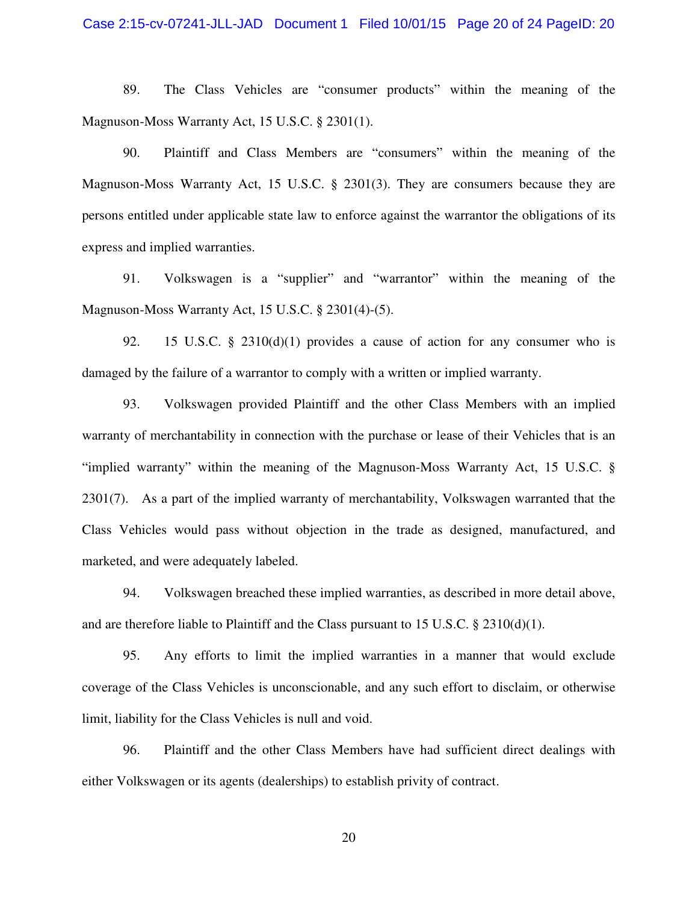89. The Class Vehicles are "consumer products" within the meaning of the Magnuson-Moss Warranty Act, 15 U.S.C. § 2301(1).

90. Plaintiff and Class Members are "consumers" within the meaning of the Magnuson-Moss Warranty Act, 15 U.S.C. § 2301(3). They are consumers because they are persons entitled under applicable state law to enforce against the warrantor the obligations of its express and implied warranties.

91. Volkswagen is a "supplier" and "warrantor" within the meaning of the Magnuson-Moss Warranty Act, 15 U.S.C. § 2301(4)-(5).

92. 15 U.S.C. § 2310(d)(1) provides a cause of action for any consumer who is damaged by the failure of a warrantor to comply with a written or implied warranty.

93. Volkswagen provided Plaintiff and the other Class Members with an implied warranty of merchantability in connection with the purchase or lease of their Vehicles that is an "implied warranty" within the meaning of the Magnuson-Moss Warranty Act, 15 U.S.C. § 2301(7). As a part of the implied warranty of merchantability, Volkswagen warranted that the Class Vehicles would pass without objection in the trade as designed, manufactured, and marketed, and were adequately labeled.

94. Volkswagen breached these implied warranties, as described in more detail above, and are therefore liable to Plaintiff and the Class pursuant to 15 U.S.C.  $\S$  2310(d)(1).

95. Any efforts to limit the implied warranties in a manner that would exclude coverage of the Class Vehicles is unconscionable, and any such effort to disclaim, or otherwise limit, liability for the Class Vehicles is null and void.

96. Plaintiff and the other Class Members have had sufficient direct dealings with either Volkswagen or its agents (dealerships) to establish privity of contract.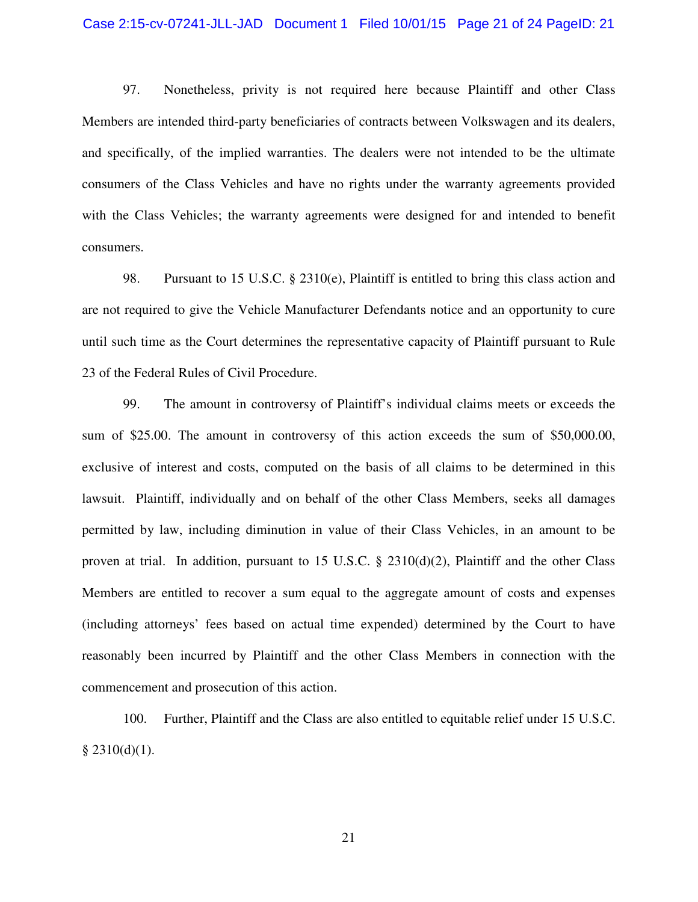## Case 2:15-cv-07241-JLL-JAD Document 1 Filed 10/01/15 Page 21 of 24 PageID: 21

97. Nonetheless, privity is not required here because Plaintiff and other Class Members are intended third-party beneficiaries of contracts between Volkswagen and its dealers, and specifically, of the implied warranties. The dealers were not intended to be the ultimate consumers of the Class Vehicles and have no rights under the warranty agreements provided with the Class Vehicles; the warranty agreements were designed for and intended to benefit consumers.

98. Pursuant to 15 U.S.C. § 2310(e), Plaintiff is entitled to bring this class action and are not required to give the Vehicle Manufacturer Defendants notice and an opportunity to cure until such time as the Court determines the representative capacity of Plaintiff pursuant to Rule 23 of the Federal Rules of Civil Procedure.

99. The amount in controversy of Plaintiff's individual claims meets or exceeds the sum of \$25.00. The amount in controversy of this action exceeds the sum of \$50,000.00, exclusive of interest and costs, computed on the basis of all claims to be determined in this lawsuit. Plaintiff, individually and on behalf of the other Class Members, seeks all damages permitted by law, including diminution in value of their Class Vehicles, in an amount to be proven at trial. In addition, pursuant to 15 U.S.C. § 2310(d)(2), Plaintiff and the other Class Members are entitled to recover a sum equal to the aggregate amount of costs and expenses (including attorneys' fees based on actual time expended) determined by the Court to have reasonably been incurred by Plaintiff and the other Class Members in connection with the commencement and prosecution of this action.

100. Further, Plaintiff and the Class are also entitled to equitable relief under 15 U.S.C.  $§$  2310(d)(1).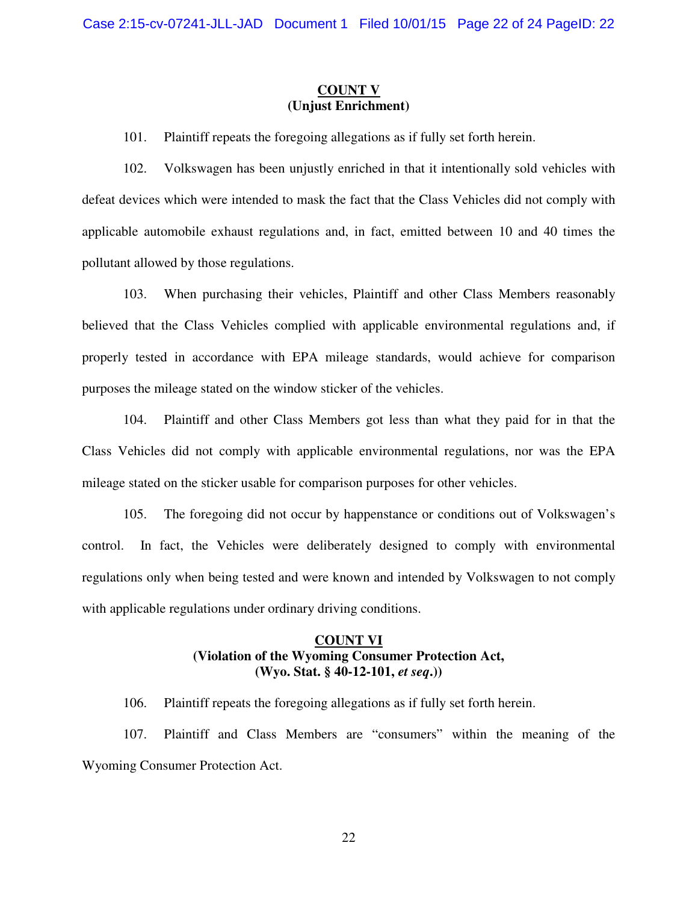# **COUNT V (Unjust Enrichment)**

101. Plaintiff repeats the foregoing allegations as if fully set forth herein.

102. Volkswagen has been unjustly enriched in that it intentionally sold vehicles with defeat devices which were intended to mask the fact that the Class Vehicles did not comply with applicable automobile exhaust regulations and, in fact, emitted between 10 and 40 times the pollutant allowed by those regulations.

103. When purchasing their vehicles, Plaintiff and other Class Members reasonably believed that the Class Vehicles complied with applicable environmental regulations and, if properly tested in accordance with EPA mileage standards, would achieve for comparison purposes the mileage stated on the window sticker of the vehicles.

104. Plaintiff and other Class Members got less than what they paid for in that the Class Vehicles did not comply with applicable environmental regulations, nor was the EPA mileage stated on the sticker usable for comparison purposes for other vehicles.

105. The foregoing did not occur by happenstance or conditions out of Volkswagen's control. In fact, the Vehicles were deliberately designed to comply with environmental regulations only when being tested and were known and intended by Volkswagen to not comply with applicable regulations under ordinary driving conditions.

# **COUNT VI (Violation of the Wyoming Consumer Protection Act, (Wyo. Stat. § 40-12-101,** *et seq***.))**

106. Plaintiff repeats the foregoing allegations as if fully set forth herein.

107. Plaintiff and Class Members are "consumers" within the meaning of the Wyoming Consumer Protection Act.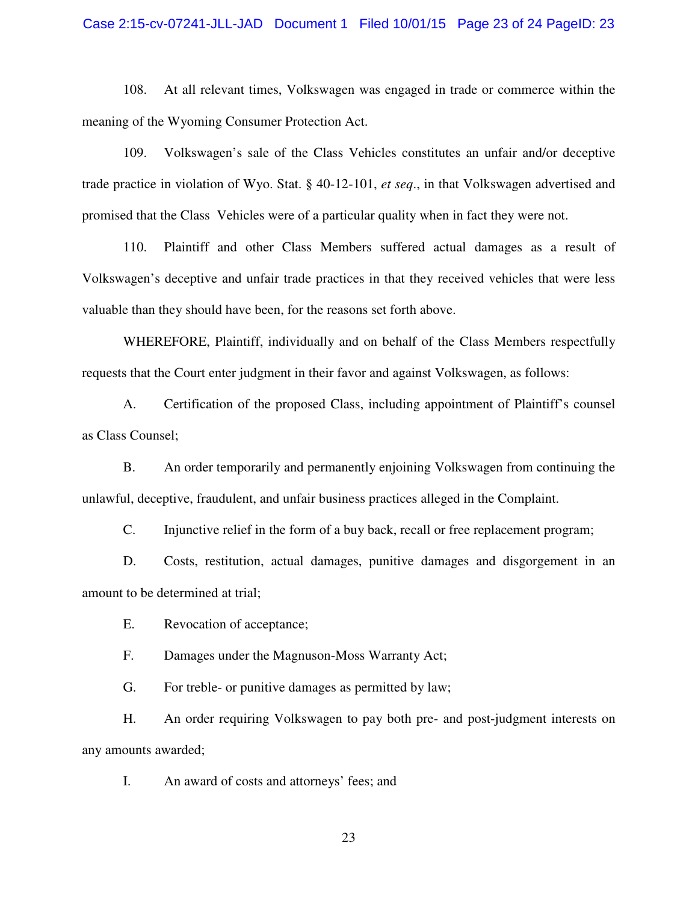## Case 2:15-cv-07241-JLL-JAD Document 1 Filed 10/01/15 Page 23 of 24 PageID: 23

108. At all relevant times, Volkswagen was engaged in trade or commerce within the meaning of the Wyoming Consumer Protection Act.

109. Volkswagen's sale of the Class Vehicles constitutes an unfair and/or deceptive trade practice in violation of Wyo. Stat. § 40-12-101, *et seq*., in that Volkswagen advertised and promised that the Class Vehicles were of a particular quality when in fact they were not.

110. Plaintiff and other Class Members suffered actual damages as a result of Volkswagen's deceptive and unfair trade practices in that they received vehicles that were less valuable than they should have been, for the reasons set forth above.

WHEREFORE, Plaintiff, individually and on behalf of the Class Members respectfully requests that the Court enter judgment in their favor and against Volkswagen, as follows:

A. Certification of the proposed Class, including appointment of Plaintiff's counsel as Class Counsel;

B. An order temporarily and permanently enjoining Volkswagen from continuing the unlawful, deceptive, fraudulent, and unfair business practices alleged in the Complaint.

C. Injunctive relief in the form of a buy back, recall or free replacement program;

D. Costs, restitution, actual damages, punitive damages and disgorgement in an amount to be determined at trial;

E. Revocation of acceptance;

F. Damages under the Magnuson-Moss Warranty Act;

G. For treble- or punitive damages as permitted by law;

H. An order requiring Volkswagen to pay both pre- and post-judgment interests on any amounts awarded;

I. An award of costs and attorneys' fees; and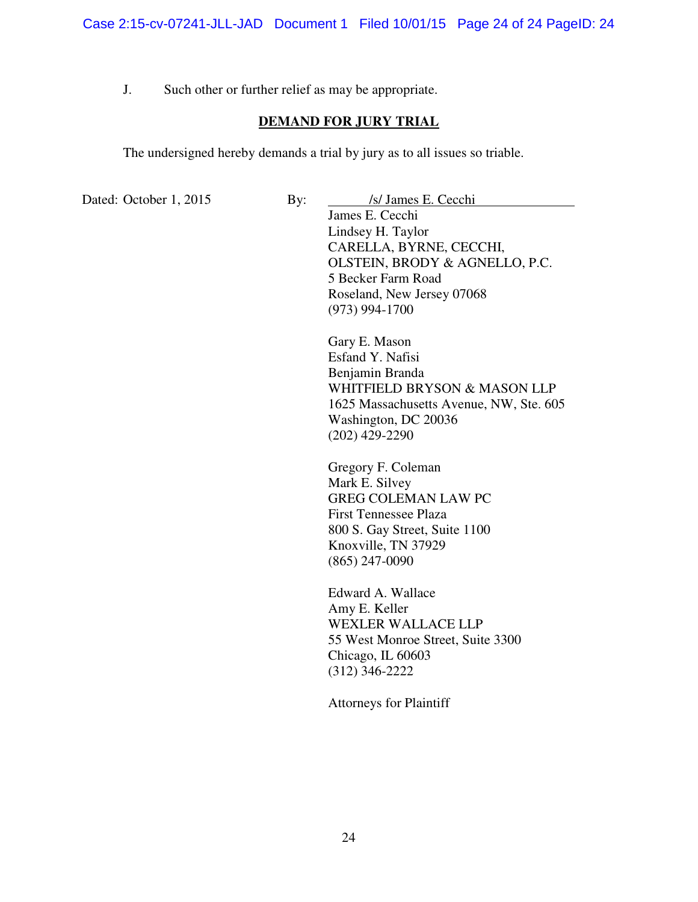J. Such other or further relief as may be appropriate.

# **DEMAND FOR JURY TRIAL**

The undersigned hereby demands a trial by jury as to all issues so triable.

Dated: October 1, 2015 By: *Isl* James E. Cecchi James E. Cecchi Lindsey H. Taylor CARELLA, BYRNE, CECCHI,

OLSTEIN, BRODY & AGNELLO, P.C. 5 Becker Farm Road Roseland, New Jersey 07068 (973) 994-1700

Gary E. Mason Esfand Y. Nafisi Benjamin Branda WHITFIELD BRYSON & MASON LLP 1625 Massachusetts Avenue, NW, Ste. 605 Washington, DC 20036 (202) 429-2290

Gregory F. Coleman Mark E. Silvey GREG COLEMAN LAW PC First Tennessee Plaza 800 S. Gay Street, Suite 1100 Knoxville, TN 37929 (865) 247-0090

Edward A. Wallace Amy E. Keller WEXLER WALLACE LLP 55 West Monroe Street, Suite 3300 Chicago, IL 60603 (312) 346-2222

Attorneys for Plaintiff